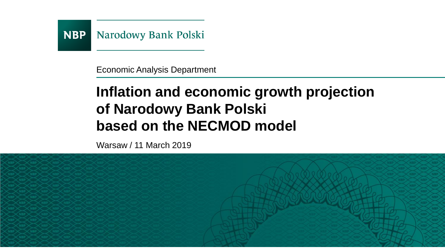

Economic Analysis Department

## **Inflation and economic growth projection of Narodowy Bank Polski based on the NECMOD model**

Warsaw / 11 March 2019

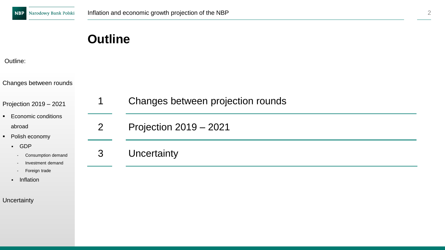#### Outline:

Changes between rounds

Projection 2019 – 2021

- Economic conditions abroad
- Polish economy
	- GDP
		- Consumption demand
		- Investment demand
		- Foreign trade
	- Inflation

**Uncertainty** 

| 1 | Changes between projection rounds |
|---|-----------------------------------|
| 2 | Projection 2019 - 2021            |
| 3 | Uncertainty                       |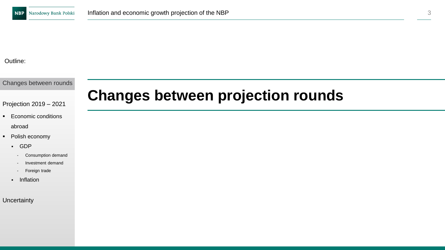Changes between rounds

Projection 2019 – 2021

- Economic conditions abroad
- Polish economy
	- GDP
		- Consumption demand
		- Investment demand
		- Foreign trade
	- Inflation

**Uncertainty** 

## **Changes between projection rounds**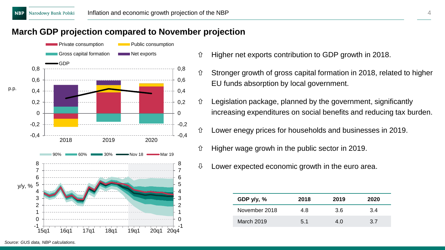### **March GDP projection compared to November projection**



- $\hat{U}$  Higher net exports contribution to GDP growth in 2018.
- Stronger growth of gross capital formation in 2018, related to higher EU funds absorption by local government.
- $\hat{U}$  Legislation package, planned by the government, significantly increasing expenditures on social benefits and reducing tax burden.
- Lower enegy prices for households and businesses in 2019.
- $\hat{U}$  Higher wage growh in the public sector in 2019.
- $\downarrow$  Lower expected economic growth in the euro area.

| GDP $y/y$ , % | 2018 | 2019 | 2020 |
|---------------|------|------|------|
| November 2018 | 4.8  | 3.6  | 3.4  |
| March 2019    | 5.1  | 4.0  | 3.7  |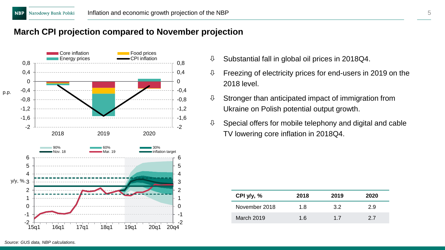### **March CPI projection compared to November projection**



- $\downarrow$  Substantial fall in global oil prices in 2018Q4.
- $\sqrt{0}$  Freezing of electricity prices for end-users in 2019 on the 2018 level.
- $\theta$  Stronger than anticipated impact of immigration from Ukraine on Polish potential output growth.
- $\mathbb U$  Special offers for mobile telephony and digital and cable TV lowering core inflation in 2018Q4.

| CPI $y/y$ , % | 2018 | 2019 | 2020 |
|---------------|------|------|------|
| November 2018 | 1.8  | 3.2  | 2.9  |
| March 2019    | 1.6  | 17   | 27   |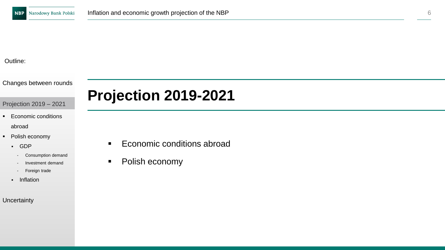Changes between rounds

Projection 2019 – 2021

- Economic conditions abroad
- Polish economy
	- GDP
		- Consumption demand
		- Investment demand
		- Foreign trade
	- Inflation

**Uncertainty** 

## **Projection 2019-2021**

- Economic conditions abroad
- Polish economy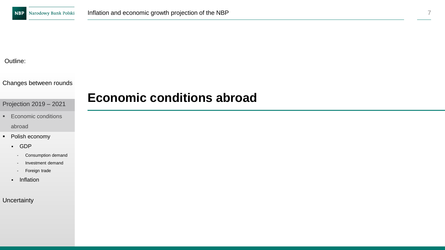#### Changes between rounds

#### Projection 2019 – 2021

- Economic conditions abroad
- Polish economy
	- GDP
		- Consumption demand
		- Investment demand
		- Foreign trade
	- Inflation

#### **Uncertainty**

## **Economic conditions abroad**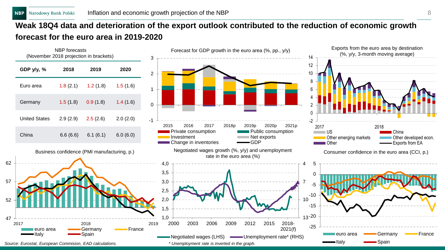## **Weak 18Q4 data and deterioration of the export outlook contributed to the reduction of economic growth forecast for the euro area in 2019-2020**

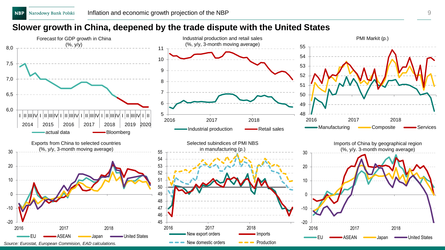#### **Slower growth in China, deepened by the trade dispute with the United States**

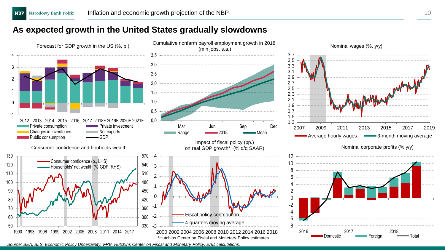### **As expected growth in the United States gradually slowdowns**



*Source: BEA, BLS, Economic Policy Uncertainity, FRB, Hutchins Center on Fiscal and Monetary Policy, EAD calculations.*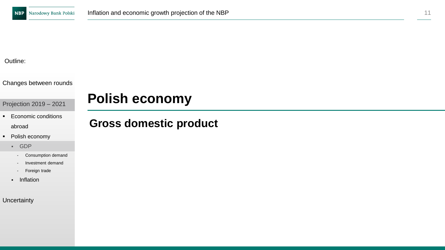Changes between rounds

Projection 2019 – 2021

- Economic conditions abroad
- Polish economy
	- GDP
		- Consumption demand
		- Investment demand
		- Foreign trade
	- Inflation

**Uncertainty** 

## **Polish economy**

## **Gross domestic product**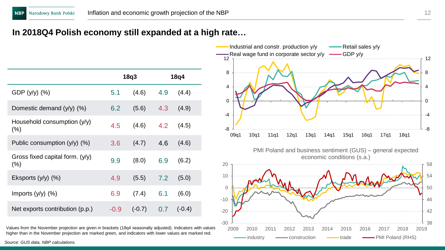### **In 2018Q4 Polish economy still expanded at a high rate…**

|                                        |        | 18q3     |     | 18q4     |
|----------------------------------------|--------|----------|-----|----------|
| GDP (y/y) (%)                          | 5.1    | (4.6)    | 4.9 | (4.4)    |
| Domestic demand (y/y) (%)              | 6.2    | (5.6)    | 4.3 | (4.9)    |
| Household consumption (y/y)<br>$(\% )$ | 4.5    | (4.6)    | 4.2 | (4.5)    |
| Public consumption $(y/y)$ (%)         | 3.6    | (4.7)    | 4.6 | (4.6)    |
| Gross fixed capital form. (y/y)<br>(%) | 9.9    | (8.0)    | 6.9 | (6.2)    |
| Eksports $(y/y)$ $(\%)$                | 4.9    | (5.5)    | 7.2 | (5.0)    |
| Imports $(y/y)$ $(\%)$                 | 6.9    | (7.4)    | 6.1 | (6.0)    |
| Net exports contribution (p.p.)        | $-0.9$ | $(-0.7)$ | 0.7 | $(-0.4)$ |

Values from the November projection are given in brackets (18q4 seasonally adjusted). Indicators with values higher than in the November projection are marked green, and indicators with lower values are marked red.

-8 -4 0 4 8 12 -8 -4 0 4 8 12 09q1 10q1 11q1 12q1 13q1 14q1 15q1 16q1 17q1 18q1 -Real wage fund in corporate sector  $y/y$   $\longrightarrow$  GDP  $y/y$ 38 42 46 50 54 58 -30 -20 -10 0 10 20 2009 2010 2011 2012 2013 2014 2015 2016 2017 2018 2019 PMI Poland and business sentiment (GUS) – general expected economic conditions (s.a.) industry  $\longrightarrow$  construction  $\longrightarrow$  trade  $\longrightarrow$  PMI Poland (RHS)

Industrial and constr. production y/y Retail sales y/y

*Source: GUS data, NBP calculations.*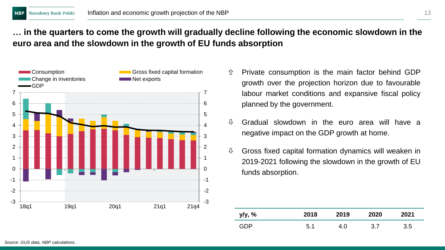### **… in the quarters to come the growth will gradually decline following the economic slowdown in the euro area and the slowdown in the growth of EU funds absorption**



- $\hat{U}$  Private consumption is the main factor behind GDP growth over the projection horizon due to favourable labour market conditions and expansive fiscal policy planned by the government.
- $\updownarrow$  Gradual slowdown in the euro area will have a negative impact on the GDP growth at home.
- $\theta$  Gross fixed capital formation dynamics will weaken in 2019-2021 following the slowdown in the growth of EU funds absorption.

| y/y, % | 2018 | 2019 | 2020 | 2021 |
|--------|------|------|------|------|
| GDP    | 5.1  | 4.0  | 3.7  | 3.5  |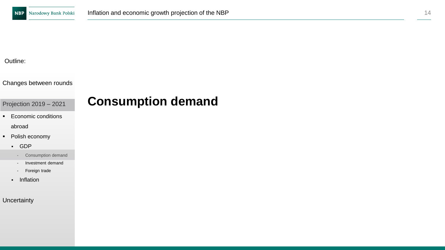Changes between rounds

Projection 2019 – 2021

- Economic conditions abroad
- Polish economy
	- GDP
		- Consumption demand
		- Investment demand
		- Foreign trade
	- Inflation

**Uncertainty** 

## **Consumption demand**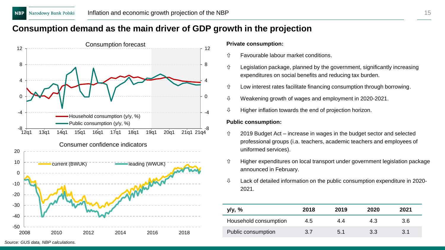### **Consumption demand as the main driver of GDP growth in the projection**



**Private consumption:**

- Favourable labour market conditions.
- $\hat{U}$  Legislation package, planned by the government, significantly increasing expenditures on social benefits and reducing tax burden.
- $\hat{U}$  Low interest rates facilitate financing consumption through borrowing.
- $\sqrt{0}$  Weakening growth of wages and employment in 2020-2021.
- $\updownarrow$  Higher inflation towards the end of projection horizon.

#### **Public consumption:**

- 2019 Budget Act increase in wages in the budget sector and selected professional groups (i.a. teachers, academic teachers and employees of uniformed services).
- $\hat{U}$  Higher expenditures on local transport under government legislation package announced in February.
- $\updownarrow$  Lack of detailed information on the public consumption expenditure in 2020-2021.

| y/y, %                | 2018 | 2019 | 2020 | 2021 |
|-----------------------|------|------|------|------|
| Household consumption | 4.5  | 4.4  | 4.3  | 3.6  |
| Public consumption    | 3.7  | 5.1  | 3.3  | 3.1  |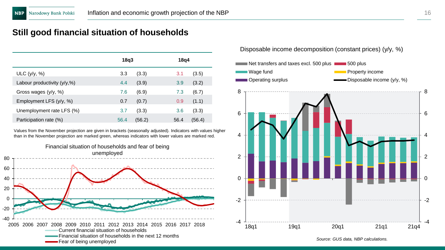### **Still good financial situation of households**

|                                | 18q3 |        | 18q4 |        |
|--------------------------------|------|--------|------|--------|
| ULC $(y/y, %)$                 | 3.3  | (3.3)  | 3.1  | (3.5)  |
| Labour productivity $(y/y, %)$ | 4.4  | (3.9)  | 3.9  | (3.2)  |
| Gross wages $(y/y, %)$         | 7.6  | (6.9)  | 7.3  | (6.7)  |
| Employment LFS (y/y, %)        | 0.7  | (0.7)  | 0.9  | (1.1)  |
| Unemployment rate LFS (%)      | 3.7  | (3.3)  | 3.6  | (3.3)  |
| Participation rate (%)         | 56.4 | (56.2) | 56.4 | (56.4) |

Values from the November projection are given in brackets (seasonally adjusted). Indicators with values higher than in the November projection are marked green, whereas indicators with lower values are marked red.



Disposable income decomposition (constant prices) (y/y, %)



*Source: GUS data, NBP calculations.*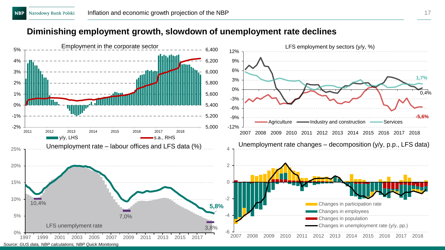### **Diminishing employment growth, slowdown of unemployment rate declines**

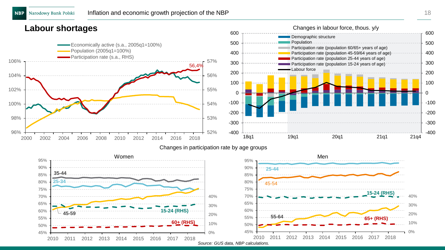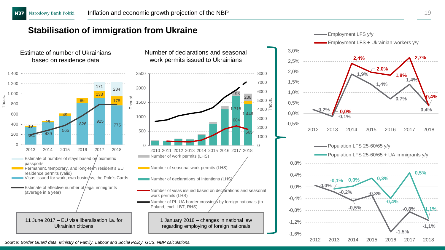### **Stabilisation of immigration from Ukraine**

Estimate of number of Ukrainians based on residence data



Number of declarations and seasonal work permits issued to Ukrainians



regarding employing of foreign nationals

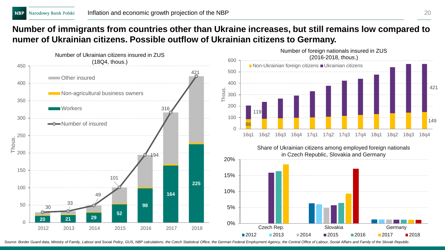### **Number of immigrants from countries other than Ukraine increases, but still remains low compared to numer of Ukrainian citizens. Possible outflow of Ukrainian citizens to Germany.**



Source: Border Guard data, Ministry of Family, Labour and Social Policy, GUS, NBP calculations, the Czech Statistical Office, the German Federal Employment Agency, the Central Office of Labour, Social Affairs and Family of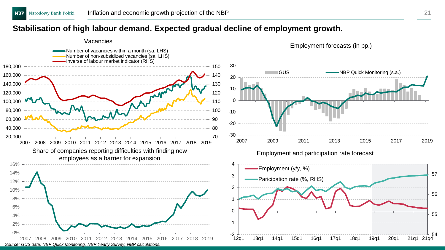#### **Stabilisation of high labour demand. Expected gradual decline of employment growth.**

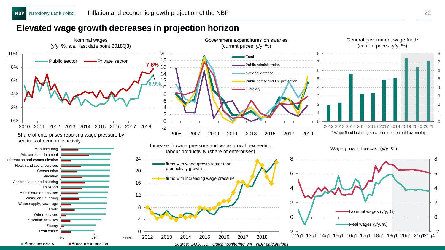#### **Elevated wage growth decreases in projection horizon**

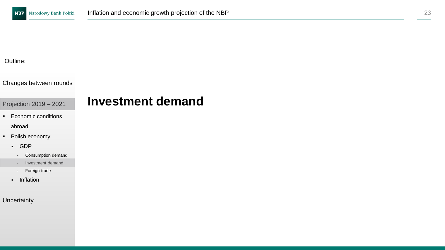Changes between rounds

Projection 2019 – 2021

- Economic conditions abroad
- Polish economy
	- GDP
		- Consumption demand
		- Investment demand
		- Foreign trade
	- Inflation

**Uncertainty** 

## **Investment demand**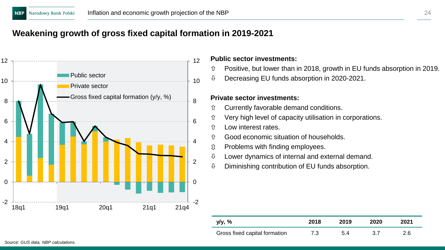### **Weakening growth of gross fixed capital formation in 2019-2021**



#### **Public sector investments:**

- $\hat{U}$  Positive, but lower than in 2018, growth in EU funds absorption in 2019.
- Decreasing EU funds absorption in 2020-2021.

#### **Private sector investments:**

- Currently favorable demand conditions.
- Very high level of capacity utilisation in corporations.
- Low interest rates.
- Good economic situation of households.
- $$\hat{y}$  Problems with finding employees.$
- $\downarrow$  Lower dynamics of internal and external demand.
- $\updownarrow$  Diminishing contribution of EU funds absorption.

| y/y, %                        | 2018 | 2019 | 2020 | 2021 |
|-------------------------------|------|------|------|------|
| Gross fixed capital formation | 7.3  | 5.4  | 3.7  | 2.6  |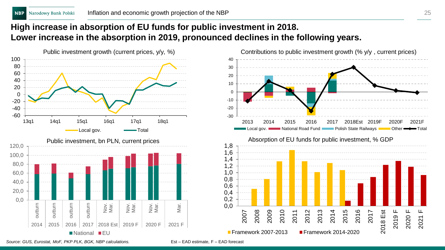### **High increase in absorption of EU funds for public investment in 2018. Lower increase in the absorption in 2019, pronounced declines in the following years.**





*Source: GUS, Eurostat, MoF, PKP PLK, BGK, NBP calculations.*

Est – EAD estimate, F – EAD forecast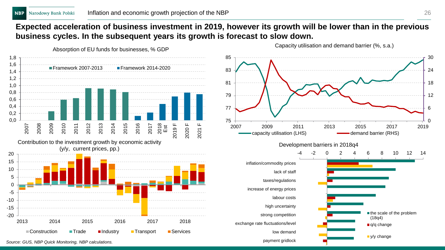### **Expected acceleration of business investment in 2019, however its growth will be lower than in the previous business cycles. In the subsequent years its growth is forecast to slow down.**



Capacity utilisation and demand barrier (%, s.a.)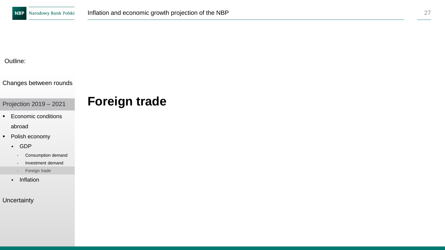#### Changes between rounds

Projection 2019 – 2021

- Economic conditions abroad
- Polish economy
	- GDP
		- Consumption demand
		- Investment demand
		- Foreign trade
	- Inflation

**Uncertainty** 

## **Foreign trade**

27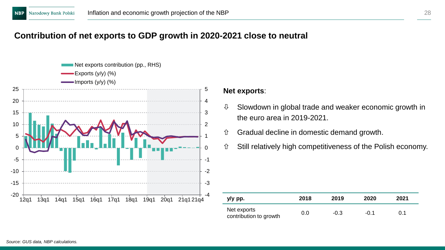### **Contribution of net exports to GDP growth in 2020-2021 close to neutral**



#### **Net exports**:

- $\mathbb U$  Slowdown in global trade and weaker economic growth in the euro area in 2019-2021.
- Gradual decline in domestic demand growth.
- Still relatively high competitiveness of the Polish economy.

| y/y pp.                               | 2018 | 2019   | 2020   | 2021 |
|---------------------------------------|------|--------|--------|------|
| Net exports<br>contribution to growth | 0.0  | $-0.3$ | $-0.1$ | 0.1  |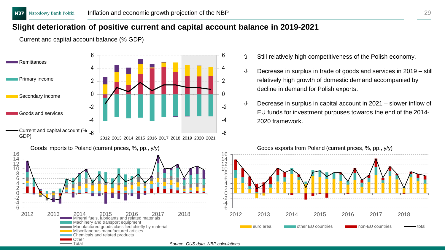Current and capital account balance (% GDP)

### **Slight deterioration of positive current and capital account balance in 2019-2021**

-6 -4 -2 0 2 4 6 Current and capital account (% -6 -4 -2 0 2 4 6 2012 2013 2014 2015 2016 2017 2018 2019 2020 2021 **Remittances** Primary income Secondary income Goods and services GDP)



- Still relatively high competitiveness of the Polish economy.
- $\theta$  Decrease in surplus in trade of goods and services in 2019 still relatively high growth of domestic demand accompanied by decline in demand for Polish exports.
- $\theta$  Decrease in surplus in capital account in 2021 slower inflow of EU funds for investment purpuses towards the end of the 2014- 2020 framework.

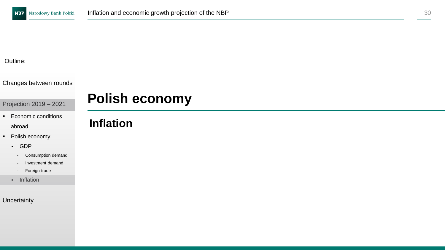Changes between rounds

Projection 2019 – 2021

- Economic conditions abroad
- Polish economy
	- GDP
		- Consumption demand
		- Investment demand
		- Foreign trade
	- Inflation

**Uncertainty** 

## **Polish economy**

## **Inflation**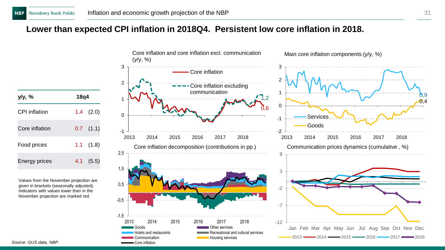### **Lower than expected CPI inflation in 2018Q4. Persistent low core inflation in 2018.**

| y/y, %         | 18q4          |  |  |  |
|----------------|---------------|--|--|--|
| CPI inflation  | $1.4$ $(2.0)$ |  |  |  |
| Core inflation | $0.7$ $(1.1)$ |  |  |  |
| Food prices    | $1.1$ $(1.8)$ |  |  |  |
| Energy prices  | $4.1$ (5.5)   |  |  |  |

Values from the November projection are given in brackets (seasonally adjusted). Indicators with values lower than in the November projection are marked red.



0,4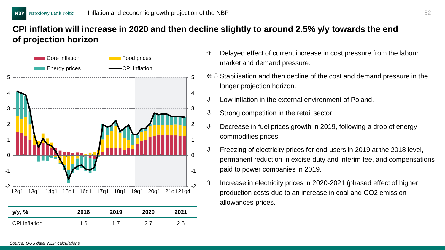### **CPI inflation will increase in 2020 and then decline slightly to around 2.5% y/y towards the end of projection horizon**



- $\hat{U}$  Delayed effect of current increase in cost pressure from the labour market and demand pressure.
- $S \oplus S$  Stabilisation and then decline of the cost and demand pressure in the longer projection horizon.
- $\downarrow$  I ow inflation in the external environment of Poland.
- $\mathbb U$  Strong competition in the retail sector.
- $\sqrt{0}$  Decrease in fuel prices growth in 2019, following a drop of energy commodities prices.
- $\updownarrow$  Freezing of electricity prices for end-users in 2019 at the 2018 level, permanent reduction in excise duty and interim fee, and compensations paid to power companies in 2019.
- $\hat{U}$  Increase in electricity prices in 2020-2021 (phased effect of higher production costs due to an increase in coal and CO2 emission allowances prices.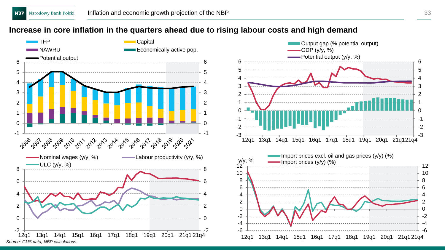#### **Increase in core inflation in the quarters ahead due to rising labour costs and high demand**



-3 -2 -1 0 1  $\mathfrak{p}$ 3 4 5 6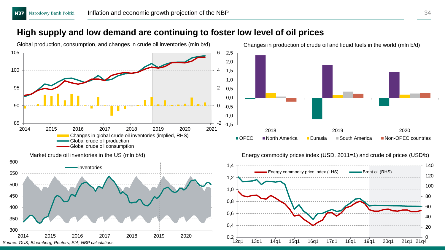#### **High supply and low demand are continuing to foster low level of oil prices**

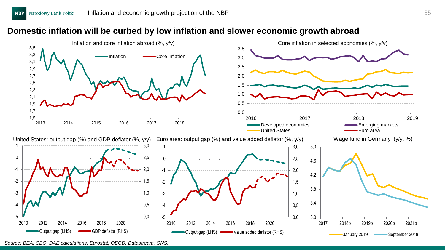### **Domestic inflation will be curbed by low inflation and slower economic growth abroad**



*Source: BEA, CBO, DAE calculations, Eurostat, OECD, Datastream, ONS.*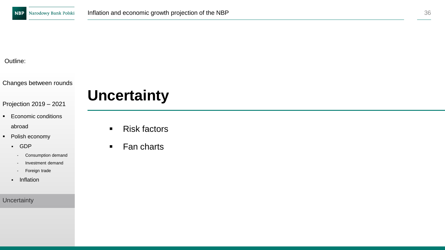Changes between rounds

### Projection 2019 – 2021

- Economic conditions abroad
- Polish economy
	- GDP
		- Consumption demand
		- Investment demand
		- Foreign trade
	- Inflation

**Uncertainty** 

# **Uncertainty**

- Risk factors
- Fan charts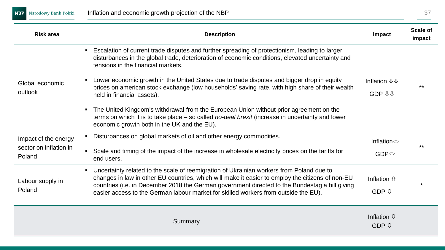**NBP** Narodowy Bank Polski

| <b>Risk area</b>                 | <b>Description</b>                                                                                                                                                                                                                                                                                                                                                                                      | Impact                                  | Scale of<br>impact |
|----------------------------------|---------------------------------------------------------------------------------------------------------------------------------------------------------------------------------------------------------------------------------------------------------------------------------------------------------------------------------------------------------------------------------------------------------|-----------------------------------------|--------------------|
|                                  | Escalation of current trade disputes and further spreading of protectionism, leading to larger<br>disturbances in the global trade, deterioration of economic conditions, elevated uncertainty and<br>tensions in the financial markets.                                                                                                                                                                |                                         |                    |
| Global economic<br>outlook       | Lower economic growth in the United States due to trade disputes and bigger drop in equity<br>prices on american stock exchange (low households' saving rate, with high share of their wealth<br>held in financial assets).                                                                                                                                                                             | Inflation <b>↓</b> ↓<br><b>GDP 44</b>   | $***$              |
|                                  | • The United Kingdom's withdrawal from the European Union without prior agreement on the<br>terms on which it is to take place – so called no-deal brexit (increase in uncertainty and lower<br>economic growth both in the UK and the EU).                                                                                                                                                             |                                         |                    |
| Impact of the energy             | Disturbances on global markets of oil and other energy commodities.                                                                                                                                                                                                                                                                                                                                     | Inflation $\Leftrightarrow$             |                    |
| sector on inflation in<br>Poland | Scale and timing of the impact of the increase in wholesale electricity prices on the tariffs for<br>end users.                                                                                                                                                                                                                                                                                         | $GDP \Leftrightarrow$                   | $***$              |
| Labour supply in<br>Poland       | Uncertainty related to the scale of reemigration of Ukrainian workers from Poland due to<br>$\blacksquare$<br>changes in law in other EU countries, which will make it easier to employ the citizens of non-EU<br>countries (i.e. in December 2018 the German government directed to the Bundestag a bill giving<br>easier access to the German labour market for skilled workers from outside the EU). | Inflation û<br>GDP $\mathcal{V}$        |                    |
|                                  | Summary                                                                                                                                                                                                                                                                                                                                                                                                 | Inflation $\mathbb Q$<br>$GDP$ $\theta$ |                    |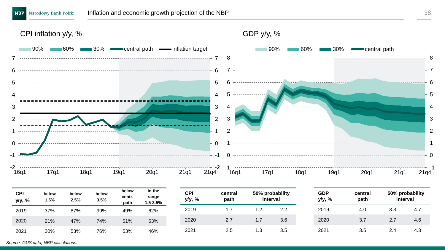CPI inflation y/y, %



| <b>CPI</b><br>y/y, % | below<br>1.5% | below<br>2.5% | below<br>3.5% | below<br>centr.<br>path | in the<br>range<br>1.5-3.5% | <b>CPI</b><br>y/y, % | central<br>path |      | 50% probability<br>interval | <b>GDP</b><br>y/y, % | central<br>path | 50% probability | interval |
|----------------------|---------------|---------------|---------------|-------------------------|-----------------------------|----------------------|-----------------|------|-----------------------------|----------------------|-----------------|-----------------|----------|
| 2019                 | 37%           | 87%           | 99%           | 49%                     | 62%                         | 2019                 |                 | 2. ا | 2.2                         | 2019                 | 4.0             | 3.3             | 4.7      |
| 2020                 | 21%           | 47%           | 74%           | 51%                     | 53%                         | 2020                 | 2.7             | ۱.7  | 3.6                         | 2020                 | 3.7             | 2.7             | 4.6      |
| 2021                 | 30%           | 53%           | 76%           | 53%                     | 46%                         | 2021                 | 2.5             | 1.3  | 3.5                         | 2021                 | 3.5             | 2.4             | 4.3      |

*Source: GUS data, NBP calculations.*